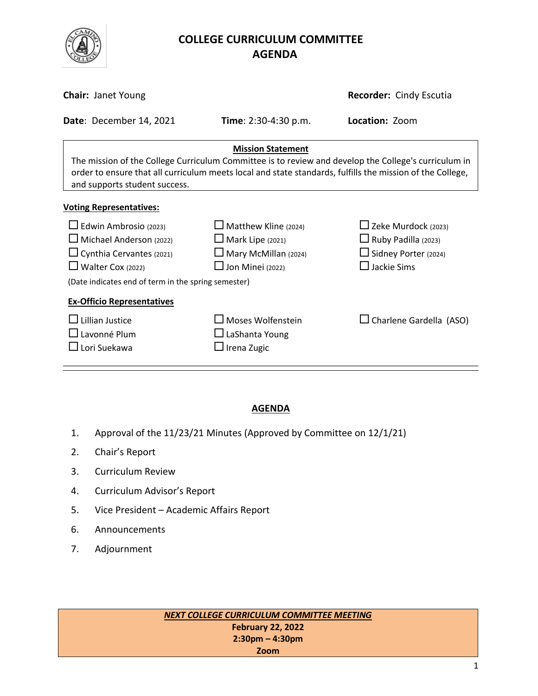

# **COLLEGE CURRICULUM COMMITTEE** **AGENDA**

| <b>Chair: Janet Young</b>                                                                                                                                                                                                                                                      |                                                                                                                  | <b>Recorder: Cindy Escutia</b>                                                                         |  |  |
|--------------------------------------------------------------------------------------------------------------------------------------------------------------------------------------------------------------------------------------------------------------------------------|------------------------------------------------------------------------------------------------------------------|--------------------------------------------------------------------------------------------------------|--|--|
| Date: December 14, 2021                                                                                                                                                                                                                                                        | <b>Time</b> : $2:30-4:30$ p.m.                                                                                   | Location: Zoom                                                                                         |  |  |
| <b>Mission Statement</b><br>The mission of the College Curriculum Committee is to review and develop the College's curriculum in<br>order to ensure that all curriculum meets local and state standards, fulfills the mission of the College,<br>and supports student success. |                                                                                                                  |                                                                                                        |  |  |
| <b>Voting Representatives:</b>                                                                                                                                                                                                                                                 |                                                                                                                  |                                                                                                        |  |  |
| $\Box$ Edwin Ambrosio (2023)<br>$\Box$ Michael Anderson (2022)<br>$\Box$ Cynthia Cervantes (2021)<br>$\Box$ Walter Cox (2022)<br>(Date indicates end of term in the spring semester)                                                                                           | $\Box$ Matthew Kline (2024)<br>$\Box$ Mark Lipe (2021)<br>$\Box$ Mary McMillan (2024)<br>$\Box$ Jon Minei (2022) | $\Box$ Zeke Murdock (2023)<br>$\Box$ Ruby Padilla (2023)<br>Sidney Porter (2024)<br>$\Box$ Jackie Sims |  |  |
| <b>Ex-Officio Representatives</b><br>Lillian Justice<br>Lavonné Plum<br>$\sqcup$ Lori Suekawa                                                                                                                                                                                  | $\Box$ Moses Wolfenstein<br>$\Box$ LaShanta Young<br>$\Box$ Irena Zugic                                          | $\Box$ Charlene Gardella (ASO)                                                                         |  |  |

#### **AGENDA**

- 1. Approval of the 11/23/21 Minutes (Approved by Committee on 12/1/21)
- 2. Chair's Report
- 3. Curriculum Review
- 4. Curriculum Advisor's Report
- 5. Vice President Academic Affairs Report
- 6. Announcements
- 7. Adjournment

*NEXT COLLEGE CURRICULUM COMMITTEE MEETING* **February 22, 2022 2:30pm – 4:30pm Zoom**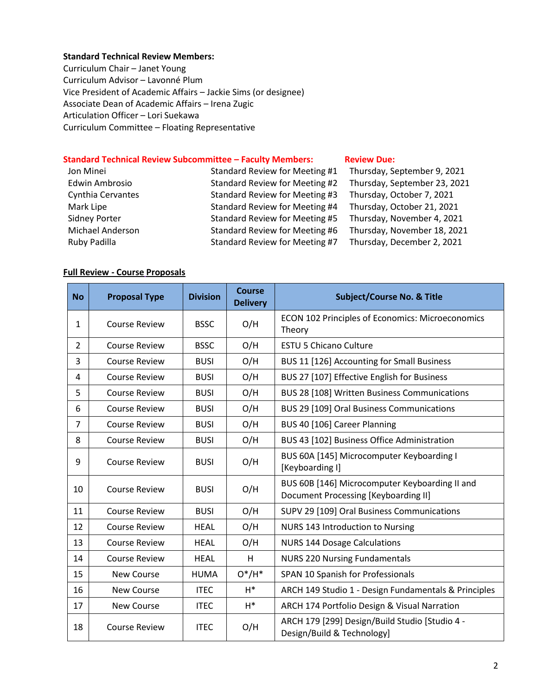#### **Standard Technical Review Members:**

Curriculum Chair – Janet Young Curriculum Advisor – Lavonné Plum Vice President of Academic Affairs – Jackie Sims (or designee) Associate Dean of Academic Affairs – Irena Zugic Articulation Officer – Lori Suekawa Curriculum Committee – Floating Representative

#### **Standard Technical Review Subcommittee – Faculty Members: [Review](http://www.curricunet.com/elcamino/documents/Spring%202016%20CCC%20Timeline.pdf) Due:**

| Jon Minei                | Standard Review for Meeting #1 | Thursday, September 9, 2021  |
|--------------------------|--------------------------------|------------------------------|
| <b>Edwin Ambrosio</b>    | Standard Review for Meeting #2 | Thursday, September 23, 2021 |
| <b>Cynthia Cervantes</b> | Standard Review for Meeting #3 | Thursday, October 7, 2021    |
| Mark Lipe                | Standard Review for Meeting #4 | Thursday, October 21, 2021   |
| <b>Sidney Porter</b>     | Standard Review for Meeting #5 | Thursday, November 4, 2021   |
| Michael Anderson         | Standard Review for Meeting #6 | Thursday, November 18, 2021  |
| Ruby Padilla             | Standard Review for Meeting #7 | Thursday, December 2, 2021   |

#### **Full Review - Course Proposals**

| <b>No</b>      | <b>Proposal Type</b> | <b>Division</b> | <b>Course</b><br><b>Delivery</b> | <b>Subject/Course No. &amp; Title</b>                                                  |
|----------------|----------------------|-----------------|----------------------------------|----------------------------------------------------------------------------------------|
| 1              | <b>Course Review</b> | <b>BSSC</b>     | O/H                              | ECON 102 Principles of Economics: Microeconomics<br>Theory                             |
| $\overline{2}$ | <b>Course Review</b> | <b>BSSC</b>     | O/H                              | <b>ESTU 5 Chicano Culture</b>                                                          |
| 3              | <b>Course Review</b> | <b>BUSI</b>     | O/H                              | BUS 11 [126] Accounting for Small Business                                             |
| 4              | <b>Course Review</b> | <b>BUSI</b>     | O/H                              | BUS 27 [107] Effective English for Business                                            |
| 5              | <b>Course Review</b> | <b>BUSI</b>     | O/H                              | BUS 28 [108] Written Business Communications                                           |
| 6              | <b>Course Review</b> | <b>BUSI</b>     | O/H                              | BUS 29 [109] Oral Business Communications                                              |
| $\overline{7}$ | <b>Course Review</b> | <b>BUSI</b>     | O/H                              | BUS 40 [106] Career Planning                                                           |
| 8              | <b>Course Review</b> | <b>BUSI</b>     | O/H                              | BUS 43 [102] Business Office Administration                                            |
| 9              | <b>Course Review</b> | <b>BUSI</b>     | O/H                              | BUS 60A [145] Microcomputer Keyboarding I<br>[Keyboarding I]                           |
| 10             | <b>Course Review</b> | <b>BUSI</b>     | O/H                              | BUS 60B [146] Microcomputer Keyboarding II and<br>Document Processing [Keyboarding II] |
| 11             | <b>Course Review</b> | <b>BUSI</b>     | O/H                              | SUPV 29 [109] Oral Business Communications                                             |
| 12             | <b>Course Review</b> | <b>HEAL</b>     | O/H                              | NURS 143 Introduction to Nursing                                                       |
| 13             | <b>Course Review</b> | <b>HEAL</b>     | O/H                              | <b>NURS 144 Dosage Calculations</b>                                                    |
| 14             | <b>Course Review</b> | <b>HEAL</b>     | H                                | <b>NURS 220 Nursing Fundamentals</b>                                                   |
| 15             | <b>New Course</b>    | <b>HUMA</b>     | $O^*/H^*$                        | SPAN 10 Spanish for Professionals                                                      |
| 16             | <b>New Course</b>    | <b>ITEC</b>     | $H^*$                            | ARCH 149 Studio 1 - Design Fundamentals & Principles                                   |
| 17             | <b>New Course</b>    | <b>ITEC</b>     | $H^*$                            | ARCH 174 Portfolio Design & Visual Narration                                           |
| 18             | <b>Course Review</b> | <b>ITEC</b>     | O/H                              | ARCH 179 [299] Design/Build Studio [Studio 4 -<br>Design/Build & Technology]           |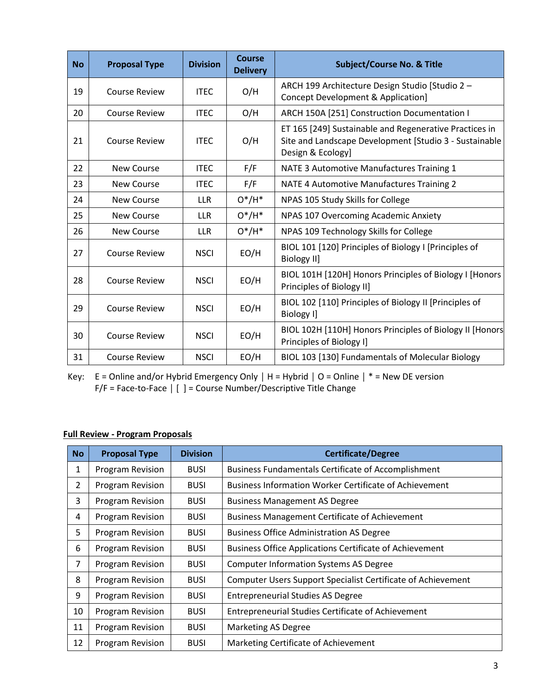| <b>No</b> | <b>Proposal Type</b> | <b>Division</b> | Course<br><b>Delivery</b> | <b>Subject/Course No. &amp; Title</b>                                                                                                 |
|-----------|----------------------|-----------------|---------------------------|---------------------------------------------------------------------------------------------------------------------------------------|
| 19        | <b>Course Review</b> | <b>ITEC</b>     | O/H                       | ARCH 199 Architecture Design Studio [Studio 2 -<br>Concept Development & Application]                                                 |
| 20        | Course Review        | <b>ITEC</b>     | O/H                       | ARCH 150A [251] Construction Documentation I                                                                                          |
| 21        | <b>Course Review</b> | <b>ITEC</b>     | O/H                       | ET 165 [249] Sustainable and Regenerative Practices in<br>Site and Landscape Development [Studio 3 - Sustainable<br>Design & Ecology] |
| 22        | New Course           | <b>ITEC</b>     | F/F                       | NATE 3 Automotive Manufactures Training 1                                                                                             |
| 23        | New Course           | <b>ITEC</b>     | F/F                       | NATE 4 Automotive Manufactures Training 2                                                                                             |
| 24        | <b>New Course</b>    | <b>LLR</b>      | $O^*/H^*$                 | NPAS 105 Study Skills for College                                                                                                     |
| 25        | New Course           | <b>LLR</b>      | $O^*/H^*$                 | NPAS 107 Overcoming Academic Anxiety                                                                                                  |
| 26        | New Course           | <b>LLR</b>      | $O^*/H^*$                 | NPAS 109 Technology Skills for College                                                                                                |
| 27        | <b>Course Review</b> | <b>NSCI</b>     | EO/H                      | BIOL 101 [120] Principles of Biology I [Principles of<br><b>Biology II]</b>                                                           |
| 28        | <b>Course Review</b> | <b>NSCI</b>     | EO/H                      | BIOL 101H [120H] Honors Principles of Biology I [Honors<br>Principles of Biology II]                                                  |
| 29        | <b>Course Review</b> | <b>NSCI</b>     | EO/H                      | BIOL 102 [110] Principles of Biology II [Principles of<br>Biology I]                                                                  |
| 30        | <b>Course Review</b> | <b>NSCI</b>     | EO/H                      | BIOL 102H [110H] Honors Principles of Biology II [Honors<br>Principles of Biology I]                                                  |
| 31        | <b>Course Review</b> | <b>NSCI</b>     | EO/H                      | BIOL 103 [130] Fundamentals of Molecular Biology                                                                                      |

Key: E = Online and/or Hybrid Emergency Only **│** H = Hybrid **│** O = Online **│** \* = New DE version F/F = Face-to-Face | [ ] = Course Number/Descriptive Title Change

## **Full Review - Program Proposals**

| <b>No</b>      | <b>Proposal Type</b> | <b>Division</b> | <b>Certificate/Degree</b>                                      |
|----------------|----------------------|-----------------|----------------------------------------------------------------|
| 1              | Program Revision     | <b>BUSI</b>     | <b>Business Fundamentals Certificate of Accomplishment</b>     |
| $\overline{2}$ | Program Revision     | <b>BUSI</b>     | <b>Business Information Worker Certificate of Achievement</b>  |
| 3              | Program Revision     | <b>BUSI</b>     | <b>Business Management AS Degree</b>                           |
| 4              | Program Revision     | <b>BUSI</b>     | <b>Business Management Certificate of Achievement</b>          |
| 5              | Program Revision     | <b>BUSI</b>     | <b>Business Office Administration AS Degree</b>                |
| 6              | Program Revision     | <b>BUSI</b>     | <b>Business Office Applications Certificate of Achievement</b> |
| 7              | Program Revision     | <b>BUSI</b>     | <b>Computer Information Systems AS Degree</b>                  |
| 8              | Program Revision     | <b>BUSI</b>     | Computer Users Support Specialist Certificate of Achievement   |
| 9              | Program Revision     | <b>BUSI</b>     | <b>Entrepreneurial Studies AS Degree</b>                       |
| 10             | Program Revision     | <b>BUSI</b>     | <b>Entrepreneurial Studies Certificate of Achievement</b>      |
| 11             | Program Revision     | <b>BUSI</b>     | <b>Marketing AS Degree</b>                                     |
| 12             | Program Revision     | <b>BUSI</b>     | Marketing Certificate of Achievement                           |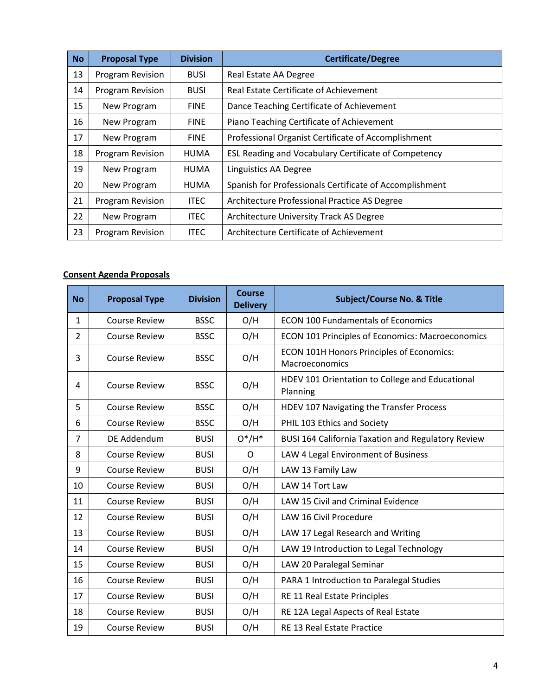| <b>No</b> | <b>Proposal Type</b>    | <b>Division</b> | <b>Certificate/Degree</b>                               |
|-----------|-------------------------|-----------------|---------------------------------------------------------|
| 13        | <b>Program Revision</b> | <b>BUSI</b>     | Real Estate AA Degree                                   |
| 14        | Program Revision        | <b>BUSI</b>     | Real Estate Certificate of Achievement                  |
| 15        | New Program             | <b>FINE</b>     | Dance Teaching Certificate of Achievement               |
| 16        | New Program             | <b>FINE</b>     | Piano Teaching Certificate of Achievement               |
| 17        | New Program             | <b>FINE</b>     | Professional Organist Certificate of Accomplishment     |
| 18        | Program Revision        | <b>HUMA</b>     | ESL Reading and Vocabulary Certificate of Competency    |
| 19        | New Program             | <b>HUMA</b>     | Linguistics AA Degree                                   |
| 20        | New Program             | <b>HUMA</b>     | Spanish for Professionals Certificate of Accomplishment |
| 21        | Program Revision        | <b>ITEC</b>     | Architecture Professional Practice AS Degree            |
| 22        | New Program             | <b>ITEC</b>     | Architecture University Track AS Degree                 |
| 23        | Program Revision        | <b>ITEC</b>     | Architecture Certificate of Achievement                 |

## **Consent Agenda Proposals**

| <b>No</b>      | <b>Proposal Type</b> | <b>Division</b> | <b>Course</b><br><b>Delivery</b> | <b>Subject/Course No. &amp; Title</b>                       |
|----------------|----------------------|-----------------|----------------------------------|-------------------------------------------------------------|
| 1              | <b>Course Review</b> | <b>BSSC</b>     | O/H                              | <b>ECON 100 Fundamentals of Economics</b>                   |
| $\overline{2}$ | <b>Course Review</b> | <b>BSSC</b>     | O/H                              | ECON 101 Principles of Economics: Macroeconomics            |
| 3              | <b>Course Review</b> | <b>BSSC</b>     | O/H                              | ECON 101H Honors Principles of Economics:<br>Macroeconomics |
| 4              | <b>Course Review</b> | <b>BSSC</b>     | O/H                              | HDEV 101 Orientation to College and Educational<br>Planning |
| 5              | <b>Course Review</b> | <b>BSSC</b>     | O/H                              | HDEV 107 Navigating the Transfer Process                    |
| 6              | <b>Course Review</b> | <b>BSSC</b>     | O/H                              | PHIL 103 Ethics and Society                                 |
| 7              | DE Addendum          | <b>BUSI</b>     | $O^*/H^*$                        | <b>BUSI 164 California Taxation and Regulatory Review</b>   |
| 8              | <b>Course Review</b> | <b>BUSI</b>     | $\mathsf{O}$                     | LAW 4 Legal Environment of Business                         |
| 9              | <b>Course Review</b> | <b>BUSI</b>     | O/H                              | LAW 13 Family Law                                           |
| 10             | <b>Course Review</b> | <b>BUSI</b>     | O/H                              | LAW 14 Tort Law                                             |
| 11             | <b>Course Review</b> | <b>BUSI</b>     | O/H                              | <b>LAW 15 Civil and Criminal Evidence</b>                   |
| 12             | <b>Course Review</b> | <b>BUSI</b>     | O/H                              | LAW 16 Civil Procedure                                      |
| 13             | <b>Course Review</b> | <b>BUSI</b>     | O/H                              | LAW 17 Legal Research and Writing                           |
| 14             | <b>Course Review</b> | <b>BUSI</b>     | O/H                              | LAW 19 Introduction to Legal Technology                     |
| 15             | <b>Course Review</b> | <b>BUSI</b>     | O/H                              | LAW 20 Paralegal Seminar                                    |
| 16             | <b>Course Review</b> | <b>BUSI</b>     | O/H                              | PARA 1 Introduction to Paralegal Studies                    |
| 17             | <b>Course Review</b> | <b>BUSI</b>     | O/H                              | RE 11 Real Estate Principles                                |
| 18             | <b>Course Review</b> | <b>BUSI</b>     | O/H                              | RE 12A Legal Aspects of Real Estate                         |
| 19             | <b>Course Review</b> | <b>BUSI</b>     | O/H                              | RE 13 Real Estate Practice                                  |